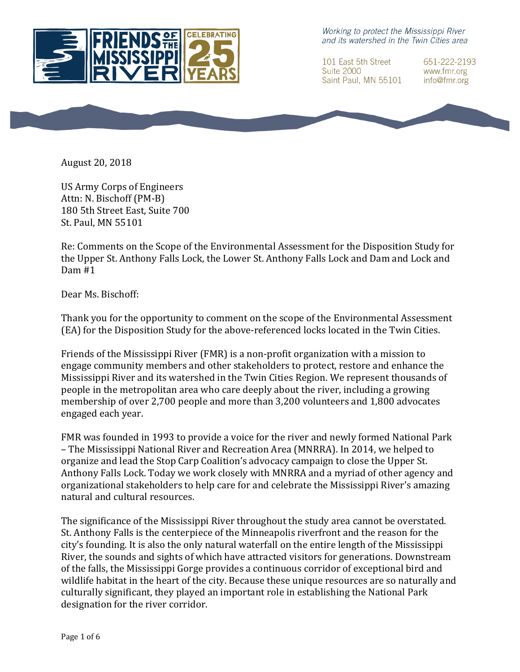

Working to protect the Mississippi River and its watershed in the Twin Cities area

101 East 5th Street **Suite 2000** Saint Paul, MN 55101 651-222-2193 www.fmr.org info@fmr.org



US Army Corps of Engineers Attn: N. Bischoff (PM-B) 180 5th Street East, Suite 700 St. Paul. MN 55101

Re: Comments on the Scope of the Environmental Assessment for the Disposition Study for the Upper St. Anthony Falls Lock, the Lower St. Anthony Falls Lock and Dam and Lock and Dam #1

Dear Ms. Bischoff:

Thank you for the opportunity to comment on the scope of the Environmental Assessment (EA) for the Disposition Study for the above-referenced locks located in the Twin Cities.

Friends of the Mississippi River (FMR) is a non-profit organization with a mission to engage community members and other stakeholders to protect, restore and enhance the Mississippi River and its watershed in the Twin Cities Region. We represent thousands of people in the metropolitan area who care deeply about the river, including a growing membership of over 2,700 people and more than 3,200 volunteers and 1,800 advocates engaged each year.

FMR was founded in 1993 to provide a voice for the river and newly formed National Park – The Mississippi National River and Recreation Area (MNRRA). In 2014, we helped to organize and lead the Stop Carp Coalition's advocacy campaign to close the Upper St. Anthony Falls Lock. Today we work closely with MNRRA and a myriad of other agency and organizational stakeholders to help care for and celebrate the Mississippi River's amazing natural and cultural resources.

The significance of the Mississippi River throughout the study area cannot be overstated. St. Anthony Falls is the centerpiece of the Minneapolis riverfront and the reason for the city's founding. It is also the only natural waterfall on the entire length of the Mississippi River, the sounds and sights of which have attracted visitors for generations. Downstream of the falls, the Mississippi Gorge provides a continuous corridor of exceptional bird and wildlife habitat in the heart of the city. Because these unique resources are so naturally and culturally significant, they played an important role in establishing the National Park designation for the river corridor.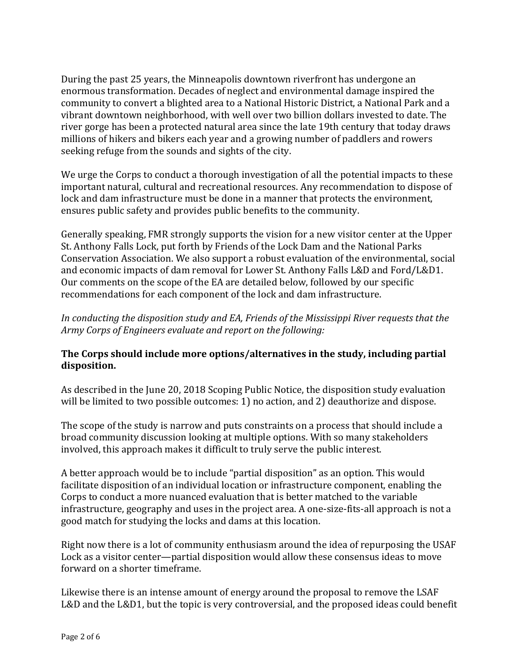During the past 25 years, the Minneapolis downtown riverfront has undergone an enormous transformation. Decades of neglect and environmental damage inspired the community to convert a blighted area to a National Historic District, a National Park and a vibrant downtown neighborhood, with well over two billion dollars invested to date. The river gorge has been a protected natural area since the late 19th century that today draws millions of hikers and bikers each year and a growing number of paddlers and rowers seeking refuge from the sounds and sights of the city.

We urge the Corps to conduct a thorough investigation of all the potential impacts to these important natural, cultural and recreational resources. Any recommendation to dispose of lock and dam infrastructure must be done in a manner that protects the environment, ensures public safety and provides public benefits to the community.

Generally speaking, FMR strongly supports the vision for a new visitor center at the Upper St. Anthony Falls Lock, put forth by Friends of the Lock Dam and the National Parks Conservation Association. We also support a robust evaluation of the environmental, social and economic impacts of dam removal for Lower St. Anthony Falls L&D and Ford/L&D1. Our comments on the scope of the EA are detailed below, followed by our specific recommendations for each component of the lock and dam infrastructure.

In conducting the disposition study and EA, Friends of the Mississippi River requests that the *Army Corps of Engineers evaluate and report on the following:* 

## **The Corps should include more options/alternatives in the study, including partial disposition.**

As described in the June 20, 2018 Scoping Public Notice, the disposition study evaluation will be limited to two possible outcomes: 1) no action, and 2) deauthorize and dispose.

The scope of the study is narrow and puts constraints on a process that should include a broad community discussion looking at multiple options. With so many stakeholders involved, this approach makes it difficult to truly serve the public interest.

A better approach would be to include "partial disposition" as an option. This would facilitate disposition of an individual location or infrastructure component, enabling the Corps to conduct a more nuanced evaluation that is better matched to the variable infrastructure, geography and uses in the project area. A one-size-fits-all approach is not a good match for studying the locks and dams at this location.

Right now there is a lot of community enthusiasm around the idea of repurposing the USAF Lock as a visitor center—partial disposition would allow these consensus ideas to move forward on a shorter timeframe.

Likewise there is an intense amount of energy around the proposal to remove the LSAF L&D and the L&D1, but the topic is very controversial, and the proposed ideas could benefit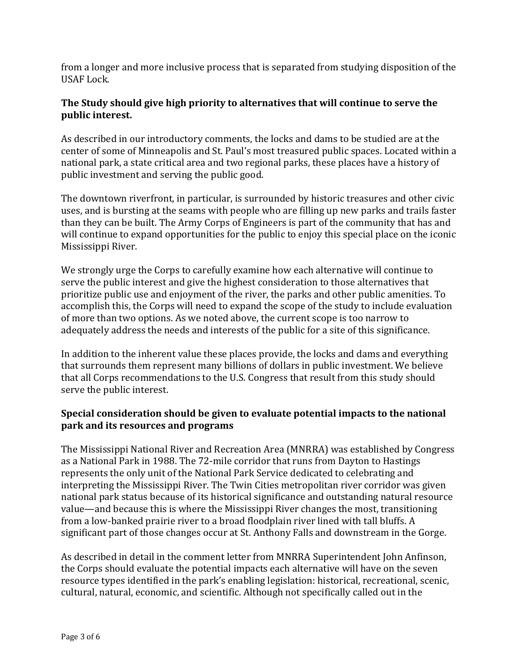from a longer and more inclusive process that is separated from studying disposition of the USAF Lock.

## **The Study should give high priority to alternatives that will continue to serve the public interest.**

As described in our introductory comments, the locks and dams to be studied are at the center of some of Minneapolis and St. Paul's most treasured public spaces. Located within a national park, a state critical area and two regional parks, these places have a history of public investment and serving the public good.

The downtown riverfront, in particular, is surrounded by historic treasures and other civic uses, and is bursting at the seams with people who are filling up new parks and trails faster than they can be built. The Army Corps of Engineers is part of the community that has and will continue to expand opportunities for the public to enjoy this special place on the iconic Mississippi River.

We strongly urge the Corps to carefully examine how each alternative will continue to serve the public interest and give the highest consideration to those alternatives that prioritize public use and enjoyment of the river, the parks and other public amenities. To accomplish this, the Corps will need to expand the scope of the study to include evaluation of more than two options. As we noted above, the current scope is too narrow to adequately address the needs and interests of the public for a site of this significance.

In addition to the inherent value these places provide, the locks and dams and everything that surrounds them represent many billions of dollars in public investment. We believe that all Corps recommendations to the U.S. Congress that result from this study should serve the public interest.

## **Special consideration should be given to evaluate potential impacts to the national park and its resources and programs**

The Mississippi National River and Recreation Area (MNRRA) was established by Congress as a National Park in 1988. The 72-mile corridor that runs from Dayton to Hastings represents the only unit of the National Park Service dedicated to celebrating and interpreting the Mississippi River. The Twin Cities metropolitan river corridor was given national park status because of its historical significance and outstanding natural resource value—and because this is where the Mississippi River changes the most, transitioning from a low-banked prairie river to a broad floodplain river lined with tall bluffs. A significant part of those changes occur at St. Anthony Falls and downstream in the Gorge.

As described in detail in the comment letter from MNRRA Superintendent John Anfinson, the Corps should evaluate the potential impacts each alternative will have on the seven resource types identified in the park's enabling legislation: historical, recreational, scenic, cultural, natural, economic, and scientific. Although not specifically called out in the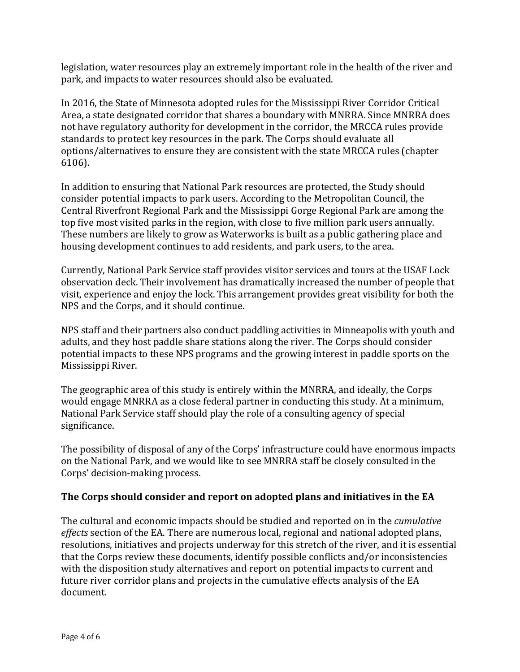legislation, water resources play an extremely important role in the health of the river and park, and impacts to water resources should also be evaluated.

In 2016, the State of Minnesota adopted rules for the Mississippi River Corridor Critical Area, a state designated corridor that shares a boundary with MNRRA. Since MNRRA does not have regulatory authority for development in the corridor, the MRCCA rules provide standards to protect key resources in the park. The Corps should evaluate all options/alternatives to ensure they are consistent with the state MRCCA rules (chapter 6106).

In addition to ensuring that National Park resources are protected, the Study should consider potential impacts to park users. According to the Metropolitan Council, the Central Riverfront Regional Park and the Mississippi Gorge Regional Park are among the top five most visited parks in the region, with close to five million park users annually. These numbers are likely to grow as Waterworks is built as a public gathering place and housing development continues to add residents, and park users, to the area.

Currently, National Park Service staff provides visitor services and tours at the USAF Lock observation deck. Their involvement has dramatically increased the number of people that visit, experience and enjoy the lock. This arrangement provides great visibility for both the NPS and the Corps, and it should continue.

NPS staff and their partners also conduct paddling activities in Minneapolis with youth and adults, and they host paddle share stations along the river. The Corps should consider potential impacts to these NPS programs and the growing interest in paddle sports on the Mississippi River.

The geographic area of this study is entirely within the MNRRA, and ideally, the Corps would engage MNRRA as a close federal partner in conducting this study. At a minimum, National Park Service staff should play the role of a consulting agency of special significance.

The possibility of disposal of any of the Corps' infrastructure could have enormous impacts on the National Park, and we would like to see MNRRA staff be closely consulted in the Corps' decision-making process.

# **The Corps should consider and report on adopted plans and initiatives in the EA**

The cultural and economic impacts should be studied and reported on in the *cumulative effects* section of the EA. There are numerous local, regional and national adopted plans, resolutions, initiatives and projects underway for this stretch of the river, and it is essential that the Corps review these documents, identify possible conflicts and/or inconsistencies with the disposition study alternatives and report on potential impacts to current and future river corridor plans and projects in the cumulative effects analysis of the EA document.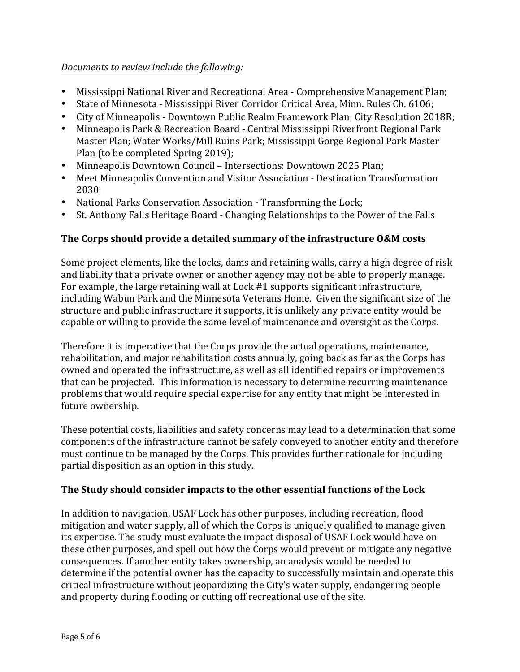### *Documents* to review include the following:

- Mississippi National River and Recreational Area Comprehensive Management Plan;
- State of Minnesota Mississippi River Corridor Critical Area, Minn. Rules Ch. 6106;
- City of Minneapolis Downtown Public Realm Framework Plan; City Resolution 2018R;
- Minneapolis Park & Recreation Board Central Mississippi Riverfront Regional Park Master Plan; Water Works/Mill Ruins Park; Mississippi Gorge Regional Park Master Plan (to be completed Spring 2019);
- Minneapolis Downtown Council Intersections: Downtown 2025 Plan;
- Meet Minneapolis Convention and Visitor Association Destination Transformation 2030;
- National Parks Conservation Association Transforming the Lock;
- St. Anthony Falls Heritage Board Changing Relationships to the Power of the Falls

# **The Corps should provide a detailed summary of the infrastructure O&M costs**

Some project elements, like the locks, dams and retaining walls, carry a high degree of risk and liability that a private owner or another agency may not be able to properly manage. For example, the large retaining wall at Lock #1 supports significant infrastructure, including Wabun Park and the Minnesota Veterans Home. Given the significant size of the structure and public infrastructure it supports, it is unlikely any private entity would be capable or willing to provide the same level of maintenance and oversight as the Corps.

Therefore it is imperative that the Corps provide the actual operations, maintenance, rehabilitation, and major rehabilitation costs annually, going back as far as the Corps has owned and operated the infrastructure, as well as all identified repairs or improvements that can be projected. This information is necessary to determine recurring maintenance problems that would require special expertise for any entity that might be interested in future ownership.

These potential costs, liabilities and safety concerns may lead to a determination that some components of the infrastructure cannot be safely conveyed to another entity and therefore must continue to be managed by the Corps. This provides further rationale for including partial disposition as an option in this study.

# The Study should consider impacts to the other essential functions of the Lock

In addition to navigation, USAF Lock has other purposes, including recreation, flood mitigation and water supply, all of which the Corps is uniquely qualified to manage given its expertise. The study must evaluate the impact disposal of USAF Lock would have on these other purposes, and spell out how the Corps would prevent or mitigate any negative consequences. If another entity takes ownership, an analysis would be needed to determine if the potential owner has the capacity to successfully maintain and operate this  $critical$  infrastructure without jeopardizing the City's water supply, endangering people and property during flooding or cutting off recreational use of the site.